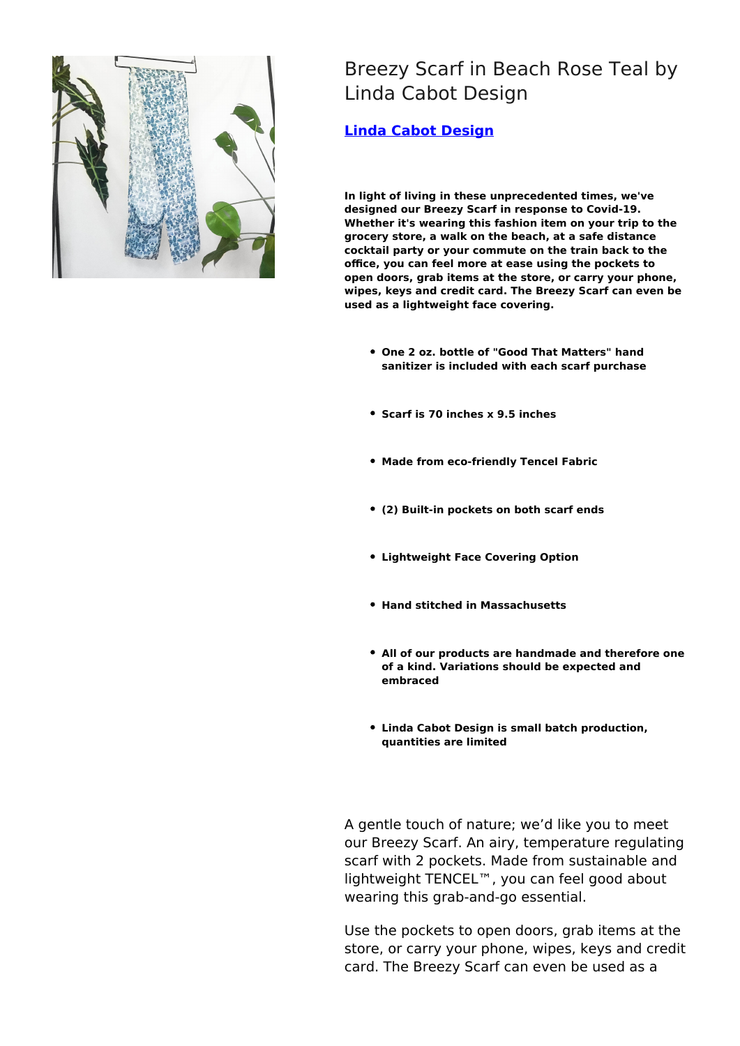

Breezy Scarf in Beach Rose Teal by Linda Cabot Design

**[Linda Cabot Design](https://designtrade.net/store/linda-cabot-design/)**

**In light of living in these unprecedented times, we've designed our Breezy Scarf in response to Covid-19. Whether it's wearing this fashion item on your trip to the grocery store, a walk on the beach, at a safe distance cocktail party or your commute on the train back to the office, you can feel more at ease using the pockets to open doors, grab items at the store, or carry your phone, wipes, keys and credit card. The Breezy Scarf can even be used as a lightweight face covering.**

- **One 2 oz. bottle of "Good That Matters" hand sanitizer is included with each scarf purchase**
- **Scarf is 70 inches x 9.5 inches**
- **Made from eco-friendly Tencel Fabric**
- **(2) Built-in pockets on both scarf ends**
- **Lightweight Face Covering Option**
- **Hand stitched in Massachusetts**
- **All of our products are handmade and therefore one of a kind. Variations should be expected and embraced**
- **Linda Cabot Design is small batch production, quantities are limited**

A gentle touch of nature; we'd like you to meet our Breezy Scarf. An airy, temperature regulating scarf with 2 pockets. Made from sustainable and lightweight TENCEL™, you can feel good about wearing this grab-and-go essential.

Use the pockets to open doors, grab items at the store, or carry your phone, wipes, keys and credit card. The Breezy Scarf can even be used as a